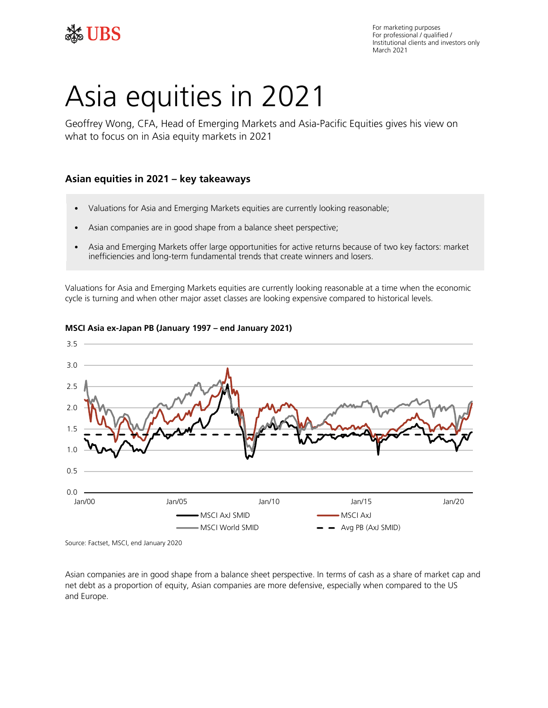

# Asia equities in 2021

Geoffrey Wong, CFA, Head of Emerging Markets and Asia-Pacific Equities gives his view on what to focus on in Asia equity markets in 2021

## **Asian equities in 2021 – key takeaways**

- Valuations for Asia and Emerging Markets equities are currently looking reasonable;
- Asian companies are in good shape from a balance sheet perspective;
- • Asia and Emerging Markets offer large opportunities for active returns because of two key factors: market inefficiencies and long-term fundamental trends that create winners and losers.

 Valuations for Asia and Emerging Markets equities are currently looking reasonable at a time when the economic cycle is turning and when other major asset classes are looking expensive compared to historical levels.



### **MSCI Asia ex-Japan PB (January 1997 – end January 2021)**

Source: Factset, MSCI, end January 2020

Asian companies are in good shape from a balance sheet perspective. In terms of cash as a share of market cap and net debt as a proportion of equity, Asian companies are more defensive, especially when compared to the US and Europe.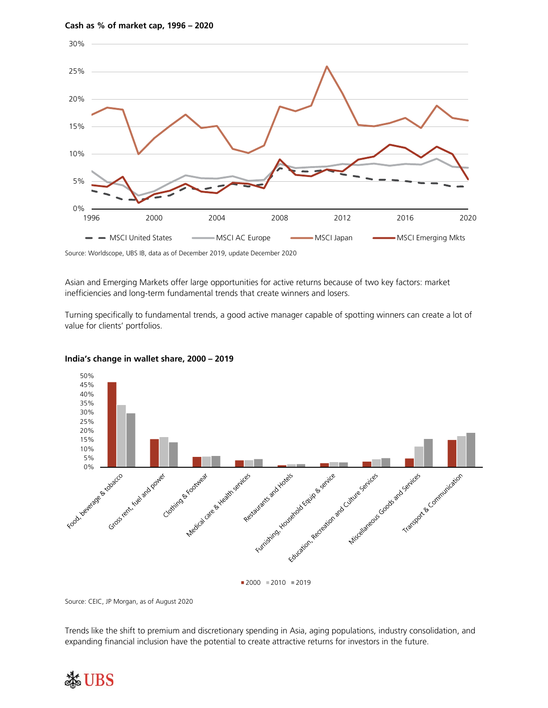

Source: Worldscope, UBS IB, data as of December 2019, update December 2020

 Asian and Emerging Markets offer large opportunities for active returns because of two key factors: market inefficiencies and long-term fundamental trends that create winners and losers.

 Turning specifically to fundamental trends, a good active manager capable of spotting winners can create a lot of value for clients' portfolios.



 **India's change in wallet share, 2000 – 2019** 

Source: CEIC, JP Morgan, as of August 2020

Trends like the shift to premium and discretionary spending in Asia, aging populations, industry consolidation, and expanding financial inclusion have the potential to create attractive returns for investors in the future.

# **SE UBS**